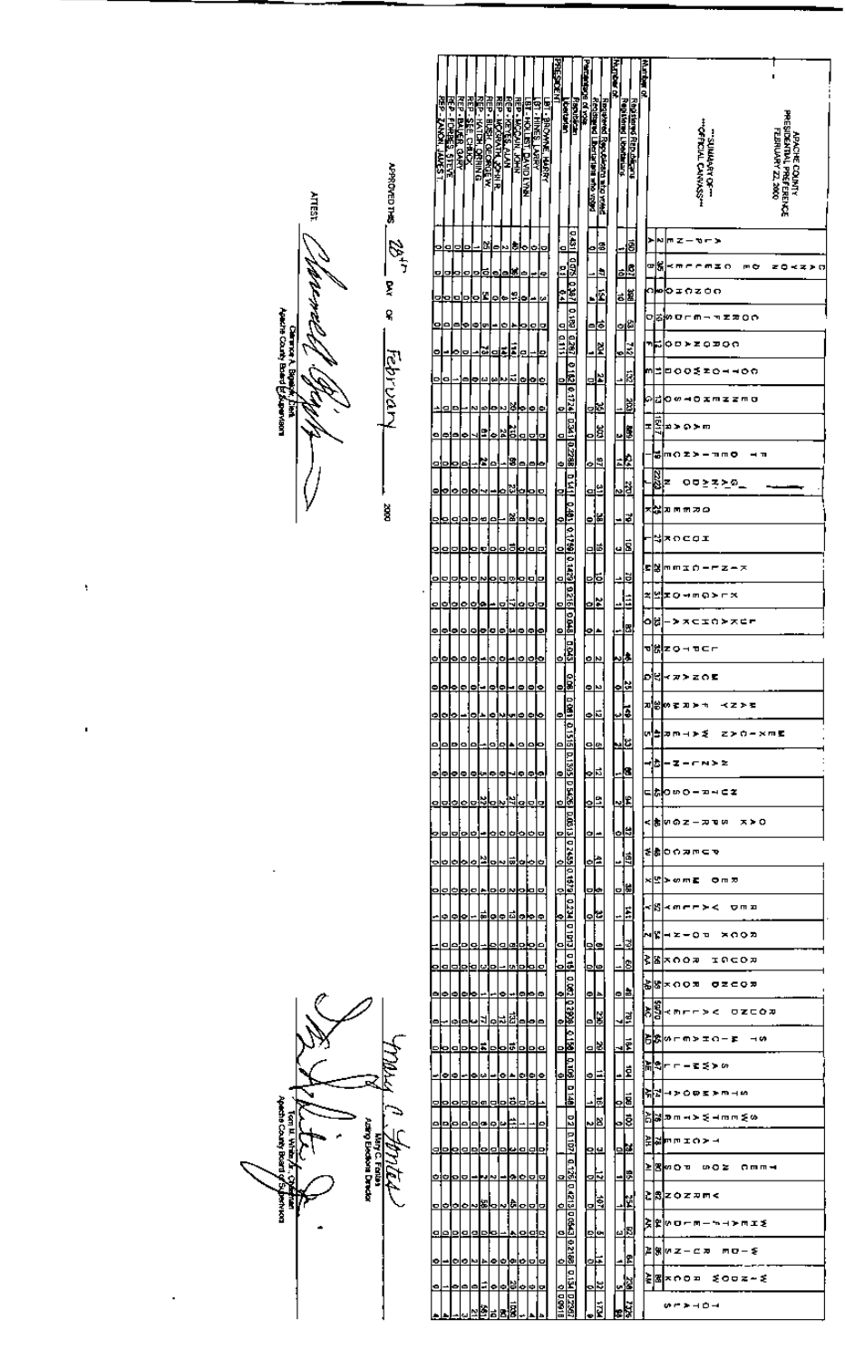|                                       |                           |                                |                                                     |           |                                         |                                                                     |        |                                                                              |                                                                                                                      | <b>PAES DENT</b>                                            |                                                                 | Particularly of your |                                                                                           |   | <b>Mapter of</b>       |                        | 不可以用户 |                                                                                        |  |
|---------------------------------------|---------------------------|--------------------------------|-----------------------------------------------------|-----------|-----------------------------------------|---------------------------------------------------------------------|--------|------------------------------------------------------------------------------|----------------------------------------------------------------------------------------------------------------------|-------------------------------------------------------------|-----------------------------------------------------------------|----------------------|-------------------------------------------------------------------------------------------|---|------------------------|------------------------|-------|----------------------------------------------------------------------------------------|--|
|                                       |                           | re<br>P                        | <b>REP BALER QARY</b><br><b>REP - FORBES, STEVE</b> |           | REP - KATON, ORNING<br>REP - SEE, CHARX | <b>REP REVES ALAN</b><br>REP - MOGRATH 22 MR<br>REP - MOGRATH 22 MR |        | <b>LET HINES LARRY<br/>LET HOLLEST DAVID LYNN</b><br>REP LHOLLEST DAVID LYNN | <b>FILE</b>                                                                                                          |                                                             | <b>Letturian</b>                                                | Riscultural          | <u>নিহাগুলেখে হিক্তাকভাৱে লাগু ত্যালা</u><br>ইন্ <b>টাইল্ডা (টিভা</b> ন্তায়র লাগু ত্যালা |   | <b>Repired Ubotans</b> | Registered Republicant |       |                                                                                        |  |
|                                       |                           | <b>ZAKON, JAUFST</b>           |                                                     |           |                                         |                                                                     |        |                                                                              |                                                                                                                      |                                                             |                                                                 |                      |                                                                                           |   |                        |                        |       | <b>"OFFICIAL CARRASS"</b><br>FEBRUARY ZZ, 2000<br>-SUNNANT OF-<br><b>APACHE COINTY</b> |  |
|                                       | <b>APROVED THES</b>       |                                |                                                     |           |                                         |                                                                     |        |                                                                              |                                                                                                                      |                                                             |                                                                 |                      |                                                                                           |   |                        |                        |       | PRESIDENTIAL PREFERENCE                                                                |  |
|                                       |                           | o<br>o                         | 0                                                   |           | М                                       | ۰                                                                   | M      | ă,<br>ь                                                                      | ь                                                                                                                    | $\blacksquare$                                              |                                                                 |                      | ۵s                                                                                        |   |                        | 힘                      |       | N<br>ほてーカーン<br>r                                                                       |  |
|                                       | 2dir                      | o                              |                                                     | O         | ē<br>o                                  | ۰                                                                   |        | u,<br>ь                                                                      | p<br>e                                                                                                               | 팈                                                           | <u>usil qoʻsl byri oʻrsi dzer iyo qizi parlazasi paralazasi</u> |                      |                                                                                           | Ŀ |                        | 핧                      |       | 미하<br>≺meem¥o<br>m¢<br>zokzin                                                          |  |
|                                       | Ę                         |                                |                                                     | D         | Ľ<br>Þ                                  | ۰                                                                   | l o    | g,<br>lo                                                                     | c۵                                                                                                                   | $\overline{6.4}$                                            |                                                                 |                      | ؋                                                                                         |   |                        | a.                     |       | ∩խ⊳<br>やまのをひの                                                                          |  |
|                                       | ዩ                         | 의<br>o                         | l≏¦≎                                                |           | -이번                                     |                                                                     | O<br>٠ | o                                                                            | o<br>Þ                                                                                                               | 01 0.111                                                    |                                                                 |                      | ゃ                                                                                         |   | Ō.                     | 53.                    |       | のは物ローの一つをまりや                                                                           |  |
|                                       |                           | $\bullet$                      | ю                                                   | Ξ         | г.                                      | oj                                                                  | E<br>E | e                                                                            | o                                                                                                                    |                                                             |                                                                 |                      | Ł<br>∸                                                                                    |   | <u>⊾</u>               |                        |       | শ≂<br>oorzo⊅on<br>m<br>⋍<br>□○○爻∑○→→○○                                                 |  |
|                                       | <u>Fe</u> bruan           | Þ<br>ø                         |                                                     |           | ш<br>⋼                                  | ta<br>Dυ                                                            | ã      | ۰                                                                            | $\bullet$<br>₫                                                                                                       | D                                                           |                                                                 |                      | ᆙ                                                                                         |   | ۰                      | 힎                      |       | 이라<br>00-02m22m0                                                                       |  |
|                                       |                           | o                              | ۰                                                   |           | N<br>ø<br>9                             | ь<br>N,<br>,                                                        | Þ.     | ь<br>ä.                                                                      | $\bullet$<br>Þ                                                                                                       | ⊵                                                           |                                                                 |                      | 判<br>ä                                                                                    |   |                        | 꼞<br>EB)               |       | EX17<br>z<br>20 D D D D                                                                |  |
|                                       |                           | e,<br>۰                        | ۰                                                   | ÷         | r,                                      | ٥                                                                   | E      | ۰                                                                            | p<br>Ξ<br>۰<br>ь                                                                                                     | $\blacksquare$<br>¢                                         |                                                                 |                      | o<br>ᄲ                                                                                    |   | ш<br>毕                 |                        |       | maz>-mmo<br>ē                                                                          |  |
|                                       |                           | ۰<br>o                         | $\bullet$                                           | olo       | ×                                       | o                                                                   |        | N.                                                                           | o<br>o                                                                                                               | Ξ                                                           |                                                                 |                      | ᄖ                                                                                         |   | ᅝ                      |                        |       | 22.72<br>z<br>○□≥주는◎_                                                                  |  |
|                                       | ģ                         | ⋼                              | ø                                                   | ۰         | ь<br>≝                                  | b                                                                   |        | ¥]olo                                                                        | ۰                                                                                                                    | e                                                           | <u>D MIL O 491 0 1759 o 3429 0 215 0 0 0 16 0</u>               |                      | ᆙ                                                                                         |   | ∸                      | Z                      |       | ×h<br>カラボカロ                                                                            |  |
|                                       |                           | olo                            | 0                                                   | D         | ь<br>o                                  | b<br>o                                                              | ಕ      | ь                                                                            | o<br>o                                                                                                               | o                                                           |                                                                 |                      | اقاما                                                                                     |   | $\overline{u}$         | ē                      |       | ₩<br>xncoi                                                                             |  |
|                                       |                           | o                              |                                                     |           |                                         |                                                                     | ø      | o                                                                            | o<br>o                                                                                                               | $\mathbf{a}$                                                |                                                                 |                      | 혂                                                                                         |   | ≐                      | ğ                      |       | 되라<br>mmin-Fz-x                                                                        |  |
|                                       |                           | ۰<br>o                         | ¢                                                   | $\bullet$ | ¢<br>۰                                  |                                                                     |        | ⊴اٰ                                                                          | œ<br>ο                                                                                                               | o                                                           |                                                                 |                      | 业                                                                                         |   | 4                      | i                      |       | 엎<br>z<br><b>IQ-MQ) rx</b>                                                             |  |
|                                       |                           | elejele                        |                                                     |           | <u>lololo</u>                           |                                                                     |        | elelele                                                                      |                                                                                                                      | ⊵                                                           |                                                                 |                      | ≃⊵                                                                                        |   |                        | 뿹                      |       | 네어<br><b>&gt; ×cin&gt;×c-</b>                                                          |  |
|                                       |                           | 00000-                         |                                                     |           |                                         | o<br>$\bullet$                                                      | -      |                                                                              | lololo                                                                                                               | o                                                           | <b>Eiosis</b>                                                   |                      | ᅃ                                                                                         |   |                        | μ                      |       | 행<br>ZOMBER<br>CJ.                                                                     |  |
|                                       |                           |                                |                                                     |           |                                         |                                                                     |        |                                                                              |                                                                                                                      |                                                             |                                                                 |                      | لعادا                                                                                     |   | ⊵⊠                     |                        |       | (カンスの)<br> 加201のまのトゥーベストを                                                              |  |
|                                       |                           |                                |                                                     |           |                                         |                                                                     |        |                                                                              | <u>  a  a  a  a  a  a  a  a  a  a</u>                                                                                | $\frac{1}{2}$<br>$\frac{1}{2}$                              |                                                                 |                      | 브리                                                                                        |   | ⊡∍                     |                        |       | w <mark>a</mark> pmara zro-xms                                                         |  |
|                                       |                           | a]a a a a <del> </del>         |                                                     |           |                                         |                                                                     |        |                                                                              | 000000                                                                                                               | $\frac{1}{\sqrt{2}}$                                        |                                                                 |                      | 년의                                                                                        |   | <u>Lic</u>             |                        |       | Hb-z-c <u>w</u> ≻≥                                                                     |  |
|                                       |                           | 00000000000                    |                                                     |           |                                         |                                                                     |        |                                                                              |                                                                                                                      | $\frac{1}{2}$                                               |                                                                 |                      | 부                                                                                         |   | 년의                     |                        |       | にはねのいの一つりにて                                                                            |  |
|                                       |                           | ololololaklololalala           |                                                     |           |                                         |                                                                     |        |                                                                              |                                                                                                                      |                                                             | ē                                                               |                      | 녞                                                                                         |   | 뺽                      |                        |       | ロイス wロエーエロ™まトロ                                                                         |  |
|                                       |                           |                                |                                                     |           |                                         |                                                                     |        |                                                                              | <u>ololololololololololo</u>                                                                                         | 브릭                                                          | o                                                               |                      | ∣≏⊫                                                                                       |   | ᇜ                      |                        |       | 호구교학이형경                                                                                |  |
|                                       |                           |                                |                                                     |           |                                         |                                                                     |        |                                                                              |                                                                                                                      | $\frac{1}{2}$                                               |                                                                 |                      | 변                                                                                         |   | 녴<br>Ӹ                 |                        |       | x 안 >ome ㅎmㅎ                                                                           |  |
|                                       |                           |                                |                                                     |           |                                         |                                                                     |        |                                                                              | <u>ololololalalololololo</u><br><u>~ ⊙ ⊙ ∼ ĕ ⊙ ⊙ ¤ ⊙ ⊙ ⊝</u>                                                         | $\frac{1}{120}$                                             |                                                                 |                      | <u>loloj</u><br>ᄈ                                                                         |   | 냽                      |                        |       | k <mark>X</mark> kwee≻< oma                                                            |  |
|                                       |                           |                                |                                                     |           |                                         |                                                                     |        |                                                                              |                                                                                                                      | $\begin{array}{ c c }\n\hline\n\hline\n\hline\n\end{array}$ |                                                                 |                      | 년의                                                                                        |   | 녵                      |                        |       | 여ㅇㅇㅈ ㄷㅇㄷㄷㅋ 꽃 네                                                                         |  |
|                                       |                           | <u>olololololo</u>             |                                                     |           |                                         |                                                                     |        |                                                                              | <u>-Iuipiala</u>                                                                                                     | 냐                                                           | a                                                               |                      | <u>lolu</u>                                                                               |   | <u>_]sj</u>            |                        |       | πορατ ποσα <mark>β</mark> ξ                                                            |  |
|                                       |                           | <u>이어이어서~`</u>                 |                                                     |           |                                         |                                                                     |        |                                                                              | - 이 - 이 - 이                                                                                                          | $\sqrt{\frac{3}{2}}$                                        |                                                                 |                      | 뿌                                                                                         |   | 부리                     |                        |       | (S <mark>S</mark> xoom ozeom                                                           |  |
|                                       |                           | ۵ŀ                             |                                                     |           |                                         |                                                                     |        |                                                                              | <u>- 1010 - 1010 - 1010 - 1010 - 1010 - 1010 - 1010 - 1010 - 1010 - 1010 - 1010 - 1010 - 1010 - 1010 - 1010 - 10</u> | $\frac{1}{8680}$<br>क्रिक                                   |                                                                 |                      | <u>IX</u>                                                                                 |   | 녭                      |                        |       | <b>B</b> entrac ozcoa<br>$68$ $-2 - 0 = 5$                                             |  |
|                                       |                           |                                |                                                     |           |                                         |                                                                     |        |                                                                              | a a # a a # a a a                                                                                                    | $\frac{6}{8010}$                                            |                                                                 |                      | <u> a s </u>                                                                              |   | LĒ                     |                        |       | jApr−−द≲≻∽                                                                             |  |
|                                       | <b>RAMA</b>               | lololo                         |                                                     |           | l∽lol⊬                                  |                                                                     |        | olololololölolola                                                            | <u> - 0 - 0 0 0 </u>                                                                                                 |                                                             | E                                                               |                      | 부                                                                                         |   | 녝<br>þē                |                        |       | 引引コンウのミンローの                                                                            |  |
|                                       | ∣⇒                        | ala ala ala ala <mark>e</mark> |                                                     |           |                                         |                                                                     |        |                                                                              | $\bullet$                                                                                                            |                                                             | $\frac{2}{3}$                                                   |                      | ᄖ<br>⊠ط                                                                                   |   | 9§                     |                        |       | ▓▓▓▒ <sub>▀</sub> ▄ <del>▖</del> ⋧⋖⊢╥ҩ▓▒                                               |  |
|                                       |                           |                                |                                                     |           |                                         |                                                                     |        |                                                                              | <u>alalolalolulalaj</u>                                                                                              |                                                             | <u>Laibri</u>                                                   |                      | 인의                                                                                        |   | 년의                     |                        |       | ≩ <mark>≵</mark> rr≖o≻⊣                                                                |  |
| i<br>Santa Caracasa<br>Santa Caracasa | <b>Honted</b><br>Anterior |                                |                                                     |           |                                         |                                                                     |        |                                                                              | <u> 0 0 0 0 0 0 0 0 0 0 0 0 </u>                                                                                     | $\frac{1}{2}$                                               | Įд                                                              |                      | 민                                                                                         |   | ᄩ                      |                        |       | rmma sow row <mark>8</mark> ≤                                                          |  |
|                                       |                           |                                |                                                     |           |                                         |                                                                     |        |                                                                              |                                                                                                                      | <u>ersi</u><br>$\frac{1}{2}$                                |                                                                 |                      | Le                                                                                        |   | $\frac{1}{\sqrt{2}}$   |                        |       | <b>CBzozzme</b><br> 支撑  のローロートコアロエを                                                    |  |
|                                       |                           |                                |                                                     |           |                                         |                                                                     |        |                                                                              | <u>elelelelelelel-kleiele</u> l                                                                                      | $\frac{1}{2}$                                               |                                                                 |                      | اع                                                                                        |   | 國<br>$\Box$            |                        |       | 3-미트 토그-도찌원의                                                                           |  |
|                                       |                           | 어리                             |                                                     |           |                                         |                                                                     |        |                                                                              | 0000000000                                                                                                           | $\frac{1}{12}$                                              |                                                                 |                      | 뿌                                                                                         |   |                        | 녧                      |       | <mark>≩</mark> ⊠ <mark>*∩o¤ ≨ooz∼≨</mark>                                              |  |
|                                       |                           |                                |                                                     |           |                                         |                                                                     |        |                                                                              | <u>-b o o = o e e o o </u><br><u>▏▏▏▒<sub></sub>▒▒</u> ▒░░░                                                          |                                                             |                                                                 |                      | ᄈ<br>╓╖                                                                                   |   |                        |                        |       | いきょうつう                                                                                 |  |

where  $\overline{\mathcal{L}}$ **Charles Cr., Commerce Routing** 

 $\ddot{\phantom{0}}$ 

ï

מי ł ā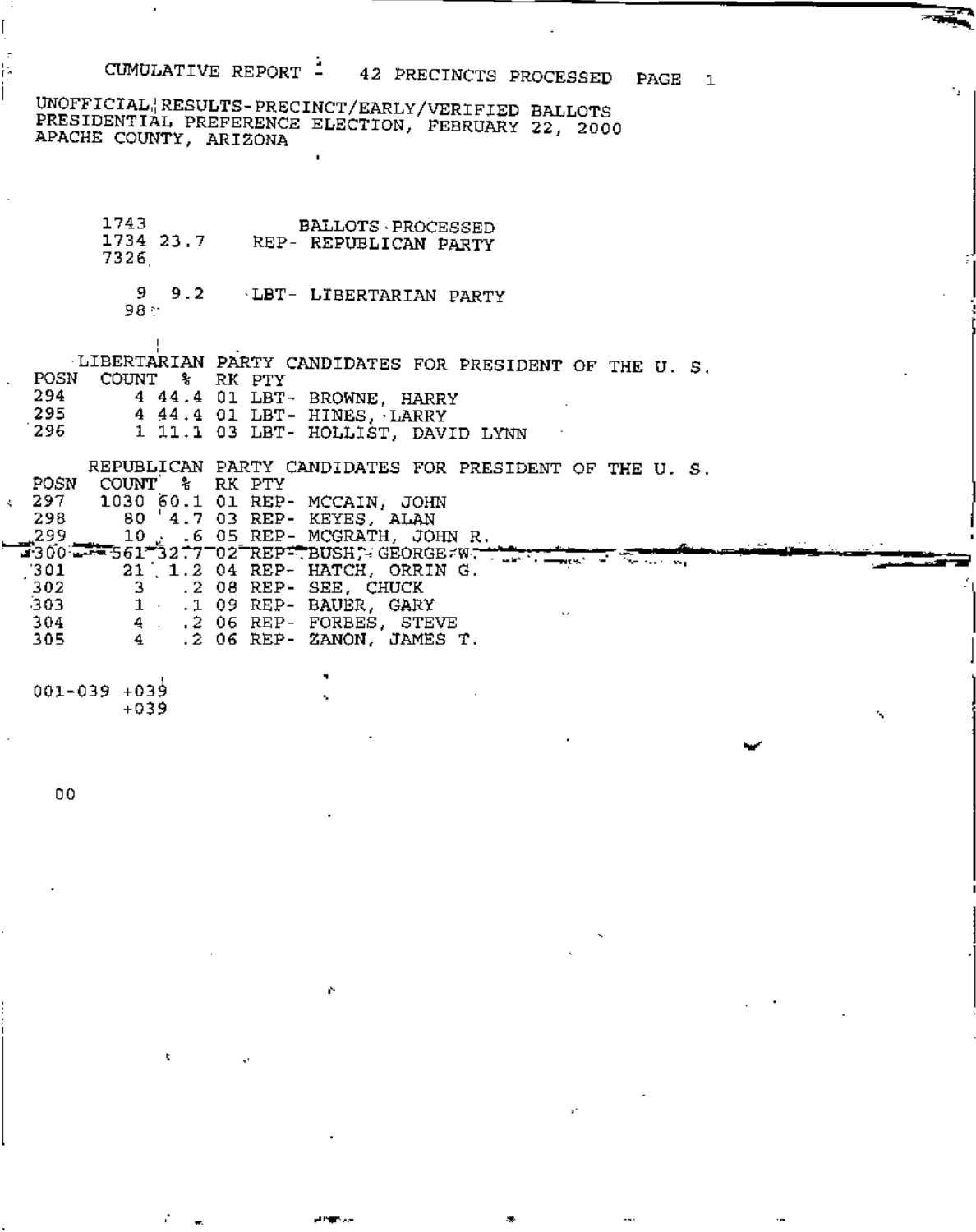## CUMULATIVE REPORT -42 PRECINCTS PROCESSED PAGE  $\mathbf{1}$

٠.

UNOFFICIAL<sup>1</sup>RESULTS-PRECINCT/EARLY/VERIFIED BALLOTS PRESIDENTIAL PREFERENCE ELECTION, FEBRUARY 22, 2000 APACHE COUNTY, ARIZONA

1743 **BALLOTS · PROCESSED** 1734 23.7 REP- REPUBLICAN PARTY 7326

 $9 \t 9.2$ LBT- LIBERTARIAN PARTY 98 :

LIBERTARIAN PARTY CANDIDATES FOR PRESIDENT OF THE U. S. POSN COUNT % RK PTY 294 4 44.4 O1 LBT- BROWNE, HARRY 295 4 44.4 01 LBT- HINES, LARRY 296 1 11.1 03 LBT- HOLLIST, DAVID LYNN

REPUBLICAN PARTY CANDIDATES FOR PRESIDENT OF THE U. S. COUNT & RK PTY<br>1030 60.1 01 REP- MCCAIN, JOHN<br>80 4.7 03 REP- KEYES, ALAN POSN 297 k. 298  $\frac{299}{1300}$  10 16 05 REP-MCGRATH, JOHN R. وّ99, 70 mars 199 21 1.2 04 REP- HATCH, ORRIN G. 301 3 .2 08 REP- SEE, CHUCK<br>1 .1 09 REP- BAUER, GARY 302 303. 4 .2 06 REP- FORBES, STEVE<br>4 .2 06 REP- ZANON, JAMES T. 304 305

001-039 +039  $+039$ 

00

k

I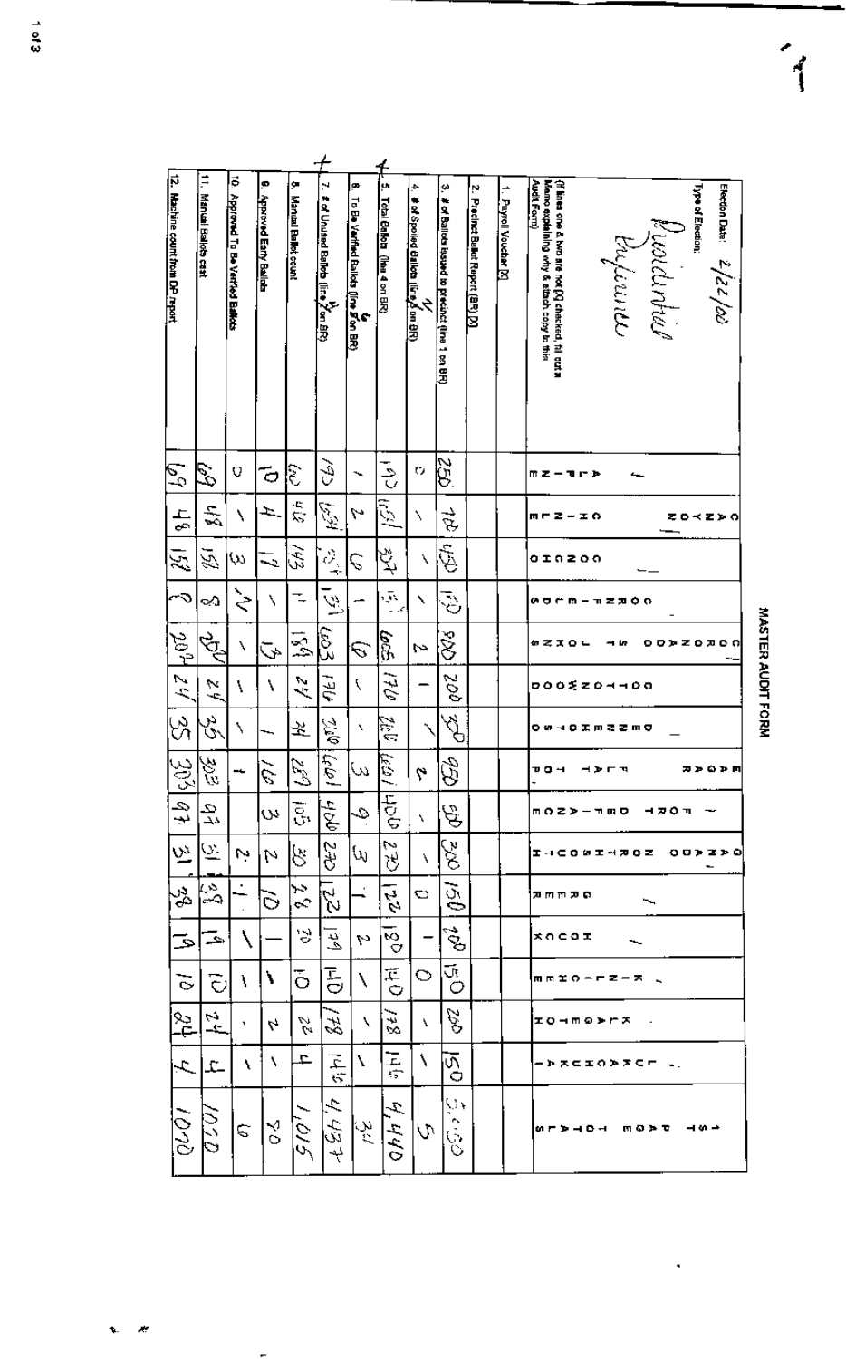| ī |
|---|
|   |
|   |
|   |
|   |

 $\vec{1}$ 

| Ę<br>Manual Ballob cast |                         | 10. Approved To Be Verified Ballots | 9. Approved Early Ballots | ۶<br><b>Manual Ballet count</b> | N<br>≇ of Unuand Balleta (line 2 <sup>1</sup> on <u>8</u> R) | g.<br>To Be Verfind Balkks (fine Fion BR) | y.<br>Total Ballots (the 4 on BP) | ۰<br>∲of Spoiled Ballots (line & on BR)<br>∲of Spoiled Ballots (line & on BR) | ψ<br># of Ballots issued to precinct (line 1 on BR) | Ņ<br>Precinct Balkut Report (BR) [X] | 1 Payrell Voucher [X] | (if lines one & two are not [2] checked, fill out a<br>Memo explaining why & stach copy to this<br>Audit Form)<br>Election Data: $\frac{2}{\ell}/2\frac{1}{\ell}/2$<br>Type of Election:<br>Kuolanhia<br>thifirun |
|-------------------------|-------------------------|-------------------------------------|---------------------------|---------------------------------|--------------------------------------------------------------|-------------------------------------------|-----------------------------------|-------------------------------------------------------------------------------|-----------------------------------------------------|--------------------------------------|-----------------------|-------------------------------------------------------------------------------------------------------------------------------------------------------------------------------------------------------------------|
|                         | P)                      | O                                   | ō                         | हे                              | Š                                                            |                                           | ちゅう                               | C.                                                                            | Ğ,                                                  |                                      |                       | ホェーモート                                                                                                                                                                                                            |
| Ρģ<br>$\frac{1}{2}$     | 듰                       | ١                                   | ÷.                        | $\tilde{z}$                     | ويتجي                                                        | N                                         | ī.                                | ٦                                                                             | है                                                  |                                      |                       | mrz-io<br>てロベヱ≯の                                                                                                                                                                                                  |
| 闵                       | 运                       | ω                                   | ಸು                        | Â                               | $\frac{\delta}{\gamma}$                                      | Ç                                         | みょ                                | N                                                                             | Er.                                                 |                                      |                       | oinzoo                                                                                                                                                                                                            |
| ÷۵                      | ∾                       | ミ                                   | ١                         |                                 | Ã                                                            |                                           | $\tilde{\phi}$                    | ╲                                                                             | ্ঠ                                                  |                                      |                       | <b>00KST-USO</b>                                                                                                                                                                                                  |
|                         | Ğ                       | ١                                   | Š,                        | $\mathbb{R}^1$                  | हि                                                           | З                                         | eg.                               | M                                                                             | Š                                                   |                                      |                       | めてまOL<br><b>00&gt;Z0J00</b><br>- 6                                                                                                                                                                                |
| $1/12$ $40$             | $\frac{1}{2}$           | ١                                   | ١                         | $\lambda$                       | ņŁI                                                          | l                                         | 41                                |                                                                               | goz                                                 |                                      |                       | <b>DOOXZ04408</b>                                                                                                                                                                                                 |
| S)                      | در<br>س                 | ١                                   |                           | 罖                               | <b>Qr.2</b>                                                  | v                                         | أيتي.<br>منا                      |                                                                               | Z<br>Z                                              |                                      |                       | <b>0040INZZMO</b>                                                                                                                                                                                                 |
| $\ket{35}$              | 3) in                   |                                     | ķ                         | D,<br>ے                         | أهلها                                                        | ω,                                        | $\overline{\mathcal{E}}$<br>∼.    | 4                                                                             | Ê                                                   |                                      |                       | חפם⊄ת<br>ᄁᄆᅿ<br>⊣≯гπ                                                                                                                                                                                              |
| दी                      | 오                       |                                     | w                         | 5.                              | ibbli                                                        | Q                                         | ज़्वनि                            | ٦.                                                                            | $\hat{\mathcal{A}}$                                 |                                      |                       | моz»-пщо няол                                                                                                                                                                                                     |
| ∣৬ু                     | $\bar{\sigma}$          | Ņ                                   | N                         | 8                               | 242                                                          | ₩                                         | v<br>₿                            | ١                                                                             | r<br>E                                              |                                      |                       | エッこりのエッカりと<br><b>OODZDO</b>                                                                                                                                                                                       |
| Ž                       | န်                      |                                     | $\rm \tilde{o}$           | مبر<br>م                        | $\overline{2}$                                               |                                           | $\frac{1}{2}$                     | Ο                                                                             | ĞØ                                                  |                                      |                       | ם תחחת                                                                                                                                                                                                            |
| ڪ                       | حـ                      |                                     |                           | ੇ                               | انغ                                                          | M                                         | $\frac{1}{\sqrt{2}}$              |                                                                               | E.                                                  |                                      |                       | <b>* ひこのエ</b>                                                                                                                                                                                                     |
| ৳                       | $\overline{\mathbf{C}}$ | ١                                   | ١                         | õ                               | こつ                                                           | N                                         | $\vec{F}$                         | O                                                                             | Ūt<br>O                                             |                                      |                       | 雨雨釜の一声之一天                                                                                                                                                                                                         |
| %।                      | A<br>Ĺ۵,                | v                                   | 4                         | W.<br>W                         | 42                                                           | ╲                                         | 32                                | ١                                                                             | S A                                                 |                                      |                       | <b>IO-MODES</b>                                                                                                                                                                                                   |
| $\mathcal{A}$           | £.                      | ١                                   | ١.                        | ٠                               | $\frac{1}{6}$                                                | V                                         | 后空                                | ١                                                                             | $\overline{\mathcal{L}}_Q$                          |                                      |                       | - > * = = 0 > * < r  -.                                                                                                                                                                                           |
| $\overline{0}$          | QSU,                    | C                                   | ४                         | 10,5                            | 4,437                                                        | ىلې:<br>جا                                | Þ,<br>440                         | W                                                                             | IJ۲<br>r,<br>$\tilde{\mathcal{S}}$                  |                                      |                       | ⊣∞∸<br><b>WL &amp; 4 Q 4</b><br>ጠወታම                                                                                                                                                                              |

 $1 or 3$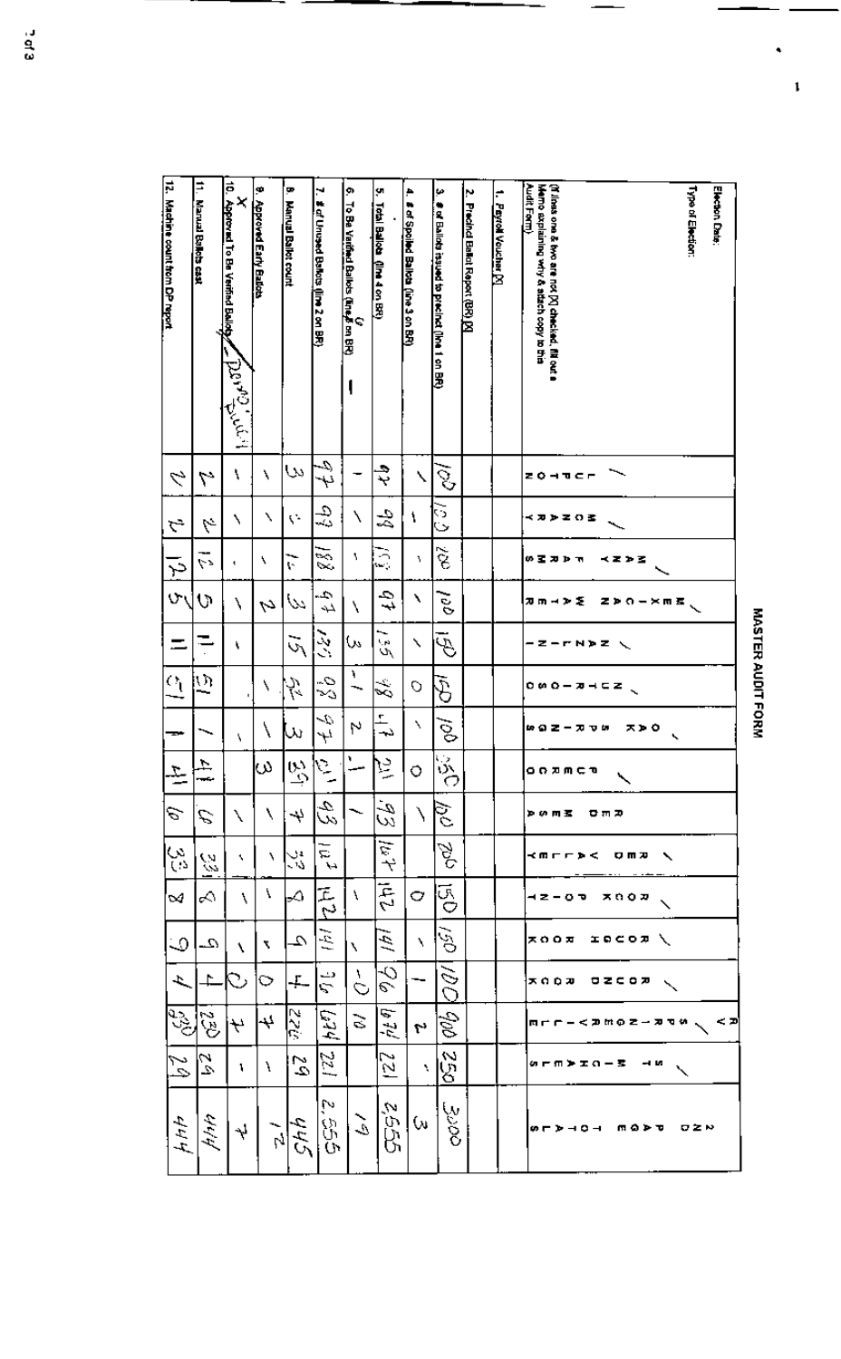$\mathbf{1}$ 

| ¢<br>Machine count from DP report | Ħ<br>Manual Balkb cast     | ē<br><b>Approved To Be Verified Balloty</b><br>انك تصديقهم | 8. Approved Early Balkes | Ŧ<br><b>Manual Ballot count</b> | N<br># of Unused Ballots (line 2 on BR) | ø<br>To Ba Variñed Ballots (Ene E on BR)<br>To Ba Variñed Ballots (Ene E on BR) | ä,<br>Total Ballob (IIM 4 on BR) | ۸<br># of Spoiled Ballots (line 3 on BR) | μ<br># of Ballots issued to precinct (line 1 on BR) | Ņ<br>Precinci Balkut Report (BR) [X] | r<br>Peyroll Voucher [Y] | Audit Form)<br>Memo axplaining why & attach copy to this<br>(If liess one & two are not [X] checked. This out a<br><b>Type of Election:</b><br>Election Date: |
|-----------------------------------|----------------------------|------------------------------------------------------------|--------------------------|---------------------------------|-----------------------------------------|---------------------------------------------------------------------------------|----------------------------------|------------------------------------------|-----------------------------------------------------|--------------------------------------|--------------------------|---------------------------------------------------------------------------------------------------------------------------------------------------------------|
| ク                                 | ٣                          | ١                                                          | ٦                        | ىيا                             | -0,<br>فہا                              |                                                                                 | ₹                                | ╲                                        | $\mathcal{S}$                                       |                                      |                          | 204TCF                                                                                                                                                        |
| ら                                 | b,                         | ٦                                                          | ٦                        | ς.                              | 49                                      | ١                                                                               | L<br>La                          | ١                                        | ੋ<br>Ó                                              |                                      |                          | <b>≺カンヱOヱ</b>                                                                                                                                                 |
| 주                                 | <۶                         | 4                                                          | ٩                        | ᡕ                               | ক<br><br>Sö,                            | ١,                                                                              | 3                                | ٦                                        | $\tilde{\mathcal{S}}$                               |                                      |                          | 0 Z A D R<br>≺Z≯∑                                                                                                                                             |
| $\sigma$                          | ত                          | ١                                                          | Ų                        | $\omega$                        | 4<br>Ļ,                                 | ١                                                                               | द्रै                             | ١                                        | ec.                                                 |                                      |                          | カカーンを<br>Zアクーメの名                                                                                                                                              |
|                                   |                            | ١                                                          |                          | Ğ,                              | 交                                       | W                                                                               | ∼<br>$\omega$                    | ╲                                        | Ġ                                                   |                                      |                          | <b>Z-r</b> n»z                                                                                                                                                |
| $\Omega$                          | ည                          |                                                            | ١                        | t,<br>7                         | С.<br>Се                                | ١                                                                               | Ž                                | O                                        | Ğ                                                   |                                      |                          |                                                                                                                                                               |
|                                   |                            | ۸                                                          | ١                        | ىل                              | 4<br>Ął                                 | h                                                                               | 냨                                | N                                        | $\tilde{\mathcal{S}}$                               |                                      |                          | ᄌᄒᅌ<br>. <del>.</del><br>TV 11<br>↖                                                                                                                           |
| 꼰                                 | ÷,<br>rance<br>T           |                                                            | Μ                        | $\vec{\hat{\omega}}$            | $\epsilon$                              | ٦                                                                               | 厚                                | 0                                        | $\overline{\mathbb{S}}$                             |                                      |                          | on¤mca                                                                                                                                                        |
| e                                 | E                          | ╲                                                          | ١                        | ₩                               | 3,                                      |                                                                                 | a-<br>w                          | Í                                        | इ                                                   |                                      |                          | <b>ኮ</b> (ለ ጠ ፳<br>日田田                                                                                                                                        |
| ξŚ                                | O.<br>w                    | ٩.                                                         | ٦.                       | ري<br>دار                       | IJ,<br>٩A                               |                                                                                 | $4\%$                            |                                          | βς<br>Π                                             |                                      |                          | <b>&lt;のcc⊅&lt;</b><br>OMX<br>╲                                                                                                                               |
| $\sim$                            | ∝                          | ١                                                          | ۱                        | ⊶                               | 戸<br>ワ                                  | ١                                                                               | 丙                                | O                                        | уя<br>О                                             |                                      |                          | xnow<br>42-07                                                                                                                                                 |
| $\circ$                           | $\mathcal{L}_-$            | ١                                                          | ٦                        | Ω.                              | $\tilde{\mathcal{Z}}$                   | ٦                                                                               | Ź                                | ١                                        | $\tilde{\mathcal{G}}$                               |                                      |                          | xoox<br><b>IDCOR\</b>                                                                                                                                         |
| ょ                                 | ≏                          | Ď                                                          | ✑                        | ÷.                              | دے<br>ς                                 | A.<br>Ó                                                                         | -0<br>e                          |                                          | ŠÓ                                                  |                                      |                          | xooæ<br>82 C O R                                                                                                                                              |
| <b>1932</b>                       | $\mathcal{L}^{\mathbf{z}}$ | ₩                                                          | 4                        | 22T                             | $F_4$                                   | $\mathbb{C}$                                                                    | 5<br>芝                           | ٢ŕ                                       | дÞ                                                  |                                      |                          | < ⊅<br><b>ホートー くみかの ミー カヤや</b>                                                                                                                                |
| 24                                | l2                         | ١                                                          | ì                        | $\tilde{c}$                     | 221                                     |                                                                                 | ∾<br>$\bar{\omega}$              | ۹.                                       | 250                                                 |                                      |                          | 幼产用的工作一套<br>- 1                                                                                                                                               |
| 444                               | وبودابهم                   | Ÿ                                                          | $\frac{1}{\sqrt{2}}$     | 445                             | M<br>e<br>G                             | کی                                                                              | 2552                             | ₩                                        | 3000                                                |                                      |                          | ጠወቅቹ<br>ロヱド<br>$\omega \vdash \triangleright \dashv \circ \dashv$                                                                                             |